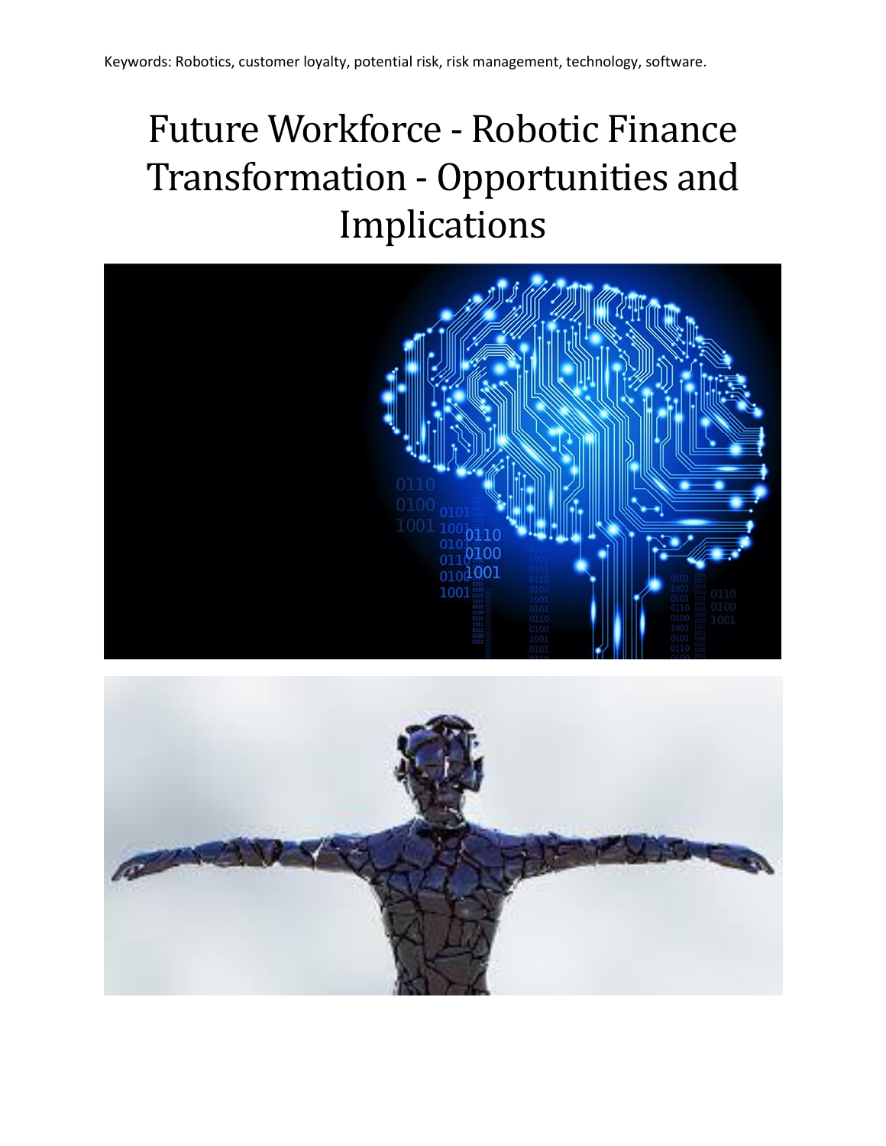# Future Workforce - Robotic Finance Transformation - Opportunities and Implications



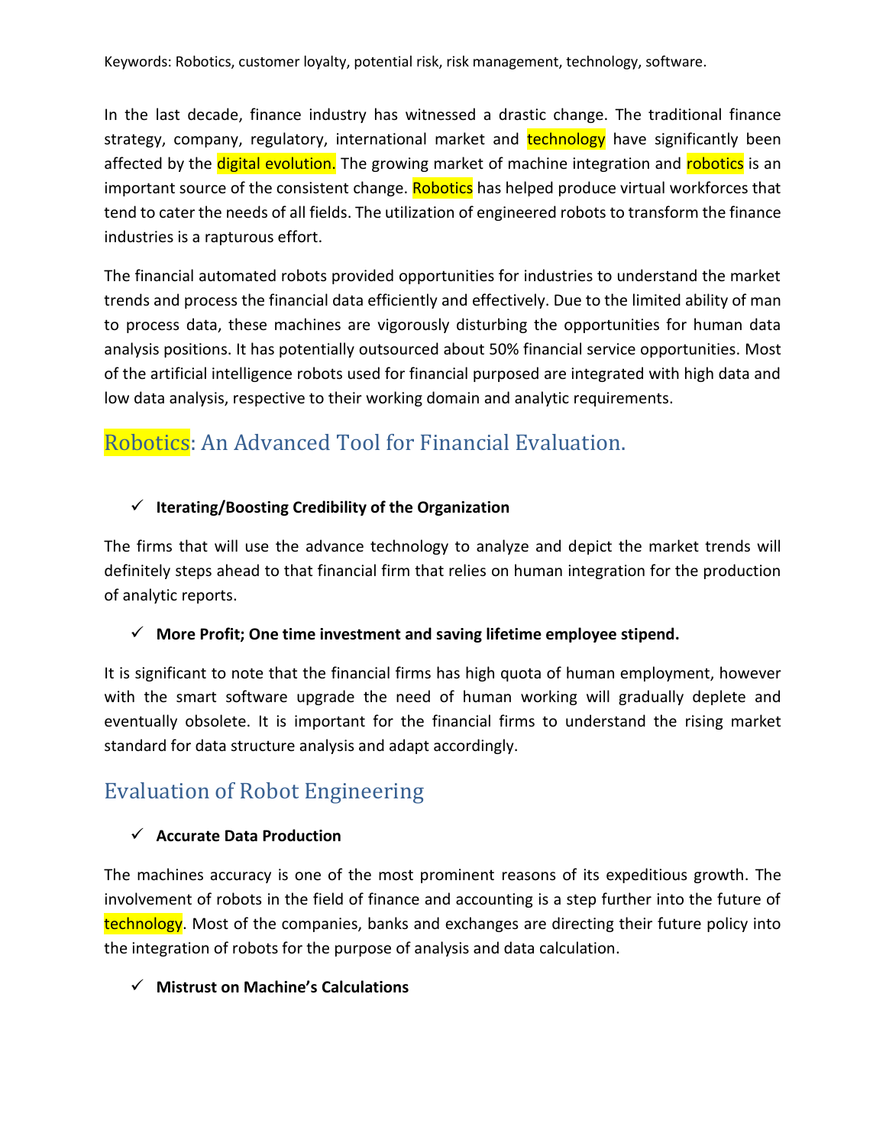In the last decade, finance industry has witnessed a drastic change. The traditional finance strategy, company, regulatory, international market and **technology** have significantly been affected by the **digital evolution.** The growing market of machine integration and **robotics** is an important source of the consistent change. Robotics has helped produce virtual workforces that tend to cater the needs of all fields. The utilization of engineered robots to transform the finance industries is a rapturous effort.

The financial automated robots provided opportunities for industries to understand the market trends and process the financial data efficiently and effectively. Due to the limited ability of man to process data, these machines are vigorously disturbing the opportunities for human data analysis positions. It has potentially outsourced about 50% financial service opportunities. Most of the artificial intelligence robots used for financial purposed are integrated with high data and low data analysis, respective to their working domain and analytic requirements.

# Robotics: An Advanced Tool for Financial Evaluation.

#### ✓ **Iterating/Boosting Credibility of the Organization**

The firms that will use the advance technology to analyze and depict the market trends will definitely steps ahead to that financial firm that relies on human integration for the production of analytic reports.

#### ✓ **More Profit; One time investment and saving lifetime employee stipend.**

It is significant to note that the financial firms has high quota of human employment, however with the smart software upgrade the need of human working will gradually deplete and eventually obsolete. It is important for the financial firms to understand the rising market standard for data structure analysis and adapt accordingly.

## Evaluation of Robot Engineering

#### ✓ **Accurate Data Production**

The machines accuracy is one of the most prominent reasons of its expeditious growth. The involvement of robots in the field of finance and accounting is a step further into the future of technology. Most of the companies, banks and exchanges are directing their future policy into the integration of robots for the purpose of analysis and data calculation.

#### ✓ **Mistrust on Machine's Calculations**